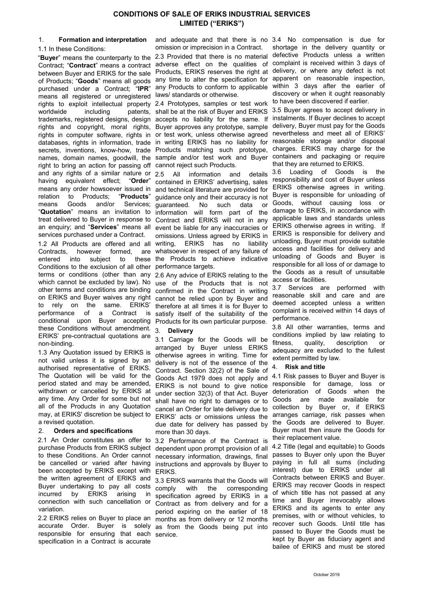# CONDITIONS OF SALE OF ERIKS INDUSTRIAL SERVICES LIMITED ("ERIKS")

# 1. Formation and interpretation

1.1 In these Conditions:

purchased under a Contract; "IPR" means all registered or unregistered laws/ standards or otherwise. rights to exploit intellectual property 2.4 Prototypes, samples or test work worldwide including patents, shall be at the risk of Buyer and ERIKS trademarks, registered designs, design accepts no liability for the same. If rights and copyright, moral rights, Buyer approves any prototype, sample rights in computer software, rights in or test work, unless otherwise agreed databases, rights in information, trade in writing ERIKS has no liability for secrets, inventions, know-how, trade Products matching such prototype, names, domain names, goodwill, the sample and/or test work and Buyer right to bring an action for passing off cannot reject such Products. and any rights of a similar nature or 2.5 having equivalent effect; "Order" means any order howsoever issued in and technical literature are provided for relation to Products; "Products" means Goods and/or Services; "Quotation" means an invitation to information will form part of the treat delivered to Buyer in response to Contract and ERIKS will not in any an enquiry; and "Services" means all event be liable for any inaccuracies or services purchased under a Contract. 1.2 All Products are offered and all writing, ERIKS has no liability Contracts, however formed, entered into subject to Conditions to the exclusion of all other performance targets. terms or conditions (other than any 2.6 Any advice of ERIKS relating to the which cannot be excluded by law). No use of the Products that is not other terms and conditions are binding confirmed in the Contract in writing on ERIKS and Buyer waives any right cannot be relied upon by Buyer and to rely on the same. ERIKS' performance of a Contract is conditional upon Buyer accepting Products for its own particular purpose. these Conditions without amendment. 3. Delivery ERIKS' pre-contractual quotations are non-binding.

1.3 Any Quotation issued by ERIKS is not valid unless it is signed by an authorised representative of ERIKS. The Quotation will be valid for the period stated and may be amended, withdrawn or cancelled by ERIKS at any time. Any Order for some but not all of the Products in any Quotation may, at ERIKS' discretion be subject to a revised quotation.

# 2. Orders and specifications

2.1 An Order constitutes an offer to 3.2 Performance of the Contract is purchase Products from ERIKS subject dependent upon prompt provision of all to these Conditions. An Order cannot be cancelled or varied after having instructions and approvals by Buyer to been accepted by ERIKS except with the written agreement of ERIKS and Buyer undertaking to pay all costs incurred by ERIKS arising in connection with such cancellation or variation.

2.2 ERIKS relies on Buyer to place an accurate Order. Buyer is solely as from the Goods being put into responsible for ensuring that each service. specification in a Contract is accurate

"Buyer" means the counterparty to the 2.3 Provided that there is no material defective Products unless a written Contract; "Contract" means a contract adverse effect on the qualities of complaint is received within 3 days of between Buyer and ERIKS for the sale Products, ERIKS reserves the right at delivery, or where any defect is not of Products; "Goods" means all goods any time to alter the specification for apparent on reasonable inspection, and adequate and that there is no 3.4 No compensation is due for omission or imprecision in a Contract. any Products to conform to applicable

All information and details contained in ERIKS' advertising, sales guidance only and their accuracy is not guaranteed. No such data or omissions. Unless agreed by ERIKS in are whatsoever in respect of any failure of these the Products to achieve indicative

> therefore at all times it is for Buyer to satisfy itself of the suitability of the

3.1 Carriage for the Goods will be arranged by Buyer unless ERIKS otherwise agrees in writing. Time for delivery is not of the essence of the Contract. Section 32(2) of the Sale of Goods Act 1979 does not apply and ERIKS is not bound to give notice under section 32(3) of that Act. Buyer shall have no right to damages or to cancel an Order for late delivery due to ERIKS' acts or omissions unless the due date for delivery has passed by more than 30 days.

necessary information, drawings, final passes to Buyer only upon the Buyer ERIKS.

3.3 ERIKS warrants that the Goods will comply with the corresponding specification agreed by ERIKS in a Contract as from delivery and for a period expiring on the earlier of 18 months as from delivery or 12 months

shortage in the delivery quantity or within 3 days after the earlier of discovery or when it ought reasonably to have been discovered if earlier.

3.5 Buyer agrees to accept delivery in instalments. If Buyer declines to accept delivery, Buyer must pay for the Goods nevertheless and meet all of ERIKS' reasonable storage and/or disposal charges. ERIKS may charge for the containers and packaging or require that they are returned to ERIKS.

3.6 Loading of Goods is the responsibility and cost of Buyer unless ERIKS otherwise agrees in writing. Buyer is responsible for unloading of Goods, without causing loss or damage to ERIKS, in accordance with applicable laws and standards unless ERIKS otherwise agrees in writing. If ERIKS is responsible for delivery and unloading, Buyer must provide suitable access and facilities for delivery and unloading of Goods and Buyer is responsible for all loss of or damage to the Goods as a result of unsuitable access or facilities.

3.7 Services are performed with reasonable skill and care and are deemed accepted unless a written complaint is received within 14 days of performance.

3.8 All other warranties, terms and conditions implied by law relating to fitness, quality, description or adequacy are excluded to the fullest extent permitted by law.

# 4. Risk and title

4.1 Risk passes to Buyer and Buyer is responsible for damage, loss or deterioration of Goods when the Goods are made available for collection by Buyer or, if ERIKS arranges carriage, risk passes when the Goods are delivered to Buyer. Buyer must then insure the Goods for their replacement value.

4.2 Title (legal and equitable) to Goods paying in full all sums (including interest) due to ERIKS under all Contracts between ERIKS and Buyer. ERIKS may recover Goods in respect of which title has not passed at any time and Buyer irrevocably allows ERIKS and its agents to enter any premises, with or without vehicles, to recover such Goods. Until title has passed to Buyer the Goods must be kept by Buyer as fiduciary agent and bailee of ERIKS and must be stored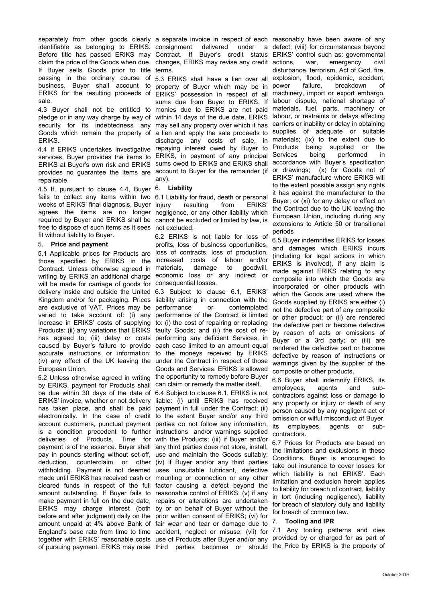separately from other goods clearly a separate invoice in respect of each reasonably have been aware of any identifiable as belonging to ERIKS. consignment delivered under a defect; (viii) for circumstances beyond Before title has passed ERIKS may Contract. If Buyer's credit status ERIKS' control such as: governmental claim the price of the Goods when due. changes, ERIKS may revise any credit If Buyer sells Goods prior to title terms. passing in the ordinary course of 5.3 ERIKS shall have a lien over all business, Buyer shall account to property of Buyer which may be in ERIKS for the resulting proceeds of ERIKS' possession in respect of all sale.

4.3 Buyer shall not be entitled to monies due to ERIKS are not paid pledge or in any way charge by way of within 14 days of the due date, ERIKS security for its indebtedness any may sell any property over which it has Goods which remain the property of ERIKS.

services, Buyer provides the items to ERIKS, in payment of any principal ERIKS at Buyer's own risk and ERIKS sums owed to ERIKS and ERIKS shall accordance with Buyer's specification provides no guarantee the items are account to Buyer for the remainder (if or drawings; (x) for Goods not of repairable.

4.5 If, pursuant to clause 4.4, Buyer 6. Liability fails to collect any items within two 6.1 Liability for fraud, death or personal weeks of ERIKS' final diagnosis, Buyer agrees the items are no longer negligence, or any other liability which required by Buyer and ERIKS shall be cannot be excluded or limited by law, is free to dispose of such items as it sees not excluded. fit without liability to Buyer.

### 5. Price and payment

5.1 Applicable prices for Products are loss of contracts, loss of production, those specified by ERIKS in the increased costs of labour and/or Contract. Unless otherwise agreed in materials, damage to goodwill, writing by ERIKS an additional charge economic loss or any indirect or will be made for carriage of goods for consequential losses. delivery inside and outside the United 6.3 Subject to clause 6.1, ERIKS' Kingdom and/or for packaging. Prices liability arising in connection with the are exclusive of VAT. Prices may be varied to take account of: (i) any performance of the Contract is limited increase in ERIKS' costs of supplying to: (i) the cost of repairing or replacing Products; (ii) any variations that ERIKS faulty Goods; and (ii) the cost of rehas agreed to; (iii) delay or costs performing any deficient Services, in caused by Buyer's failure to provide each case limited to an amount equal accurate instructions or information; to the moneys received by ERIKS (iv) any effect of the UK leaving the under the Contract in respect of those European Union.

by ERIKS, payment for Products shall can claim or remedy the matter itself. be due within 30 days of the date of 6.4 Subject to clause 6.1, ERIKS is not ERIKS' invoice, whether or not delivery liable: (i) until ERIKS has received has taken place, and shall be paid payment in full under the Contract; (ii) electronically. In the case of credit to the extent Buyer and/or any third account customers, punctual payment parties do not follow any information, is a condition precedent to further instructions and/or warnings supplied deliveries of Products. Time for with the Products; (iii) if Buyer and/or payment is of the essence. Buyer shall any third parties does not store, install, pay in pounds sterling without set-off, use and maintain the Goods suitably; deduction, counterclaim or other (iv) if Buyer and/or any third parties withholding. Payment is not deemed uses unsuitable lubricant, defective made until ERIKS has received cash or mounting or connection or any other cleared funds in respect of the full factor causing a defect beyond the amount outstanding. If Buyer fails to reasonable control of ERIKS; (v) if any make payment in full on the due date, repairs or alterations are undertaken ERIKS may charge interest (both by or on behalf of Buyer without the before and after judgment) daily on the prior written consent of ERIKS; (vi) for amount unpaid at 4% above Bank of fair wear and tear or damage due to England's base rate from time to time accident, neglect or misuse; (vii) for 7.1 Any tooling patterns and dies together with ERIKS' reasonable costs use of Products after Buyer and/or any provided by or charged for as part of of pursuing payment. ERIKS may raise third parties becomes or should the Price by ERIKS is the property of

4.4 If ERIKS undertakes investigative repaying interest owed by Buyer to sums due from Buyer to ERIKS. If a lien and apply the sale proceeds to discharge any costs of sale, in materials; (ix) to the extent due to any).

resulting from ERIKS'

6.2 ERIKS is not liable for loss of profits, loss of business opportunities,

5.2 Unless otherwise agreed in writing the opportunity to remedy before Buyer or contemplated Goods and Services. ERIKS is allowed

war, emergency, civil disturbance, terrorism, Act of God, fire, explosion, flood, epidemic, accident, failure, breakdown of machinery, import or export embargo, labour dispute, national shortage of materials, fuel, parts, machinery or labour, or restraints or delays affecting carriers or inability or delay in obtaining supplies of adequate or suitable Products being supplied or the being performed in ERIKS' manufacture where ERIKS will to the extent possible assign any rights it has against the manufacturer to the Buyer; or (xi) for any delay or effect on the Contract due to the UK leaving the European Union, including during any extensions to Article 50 or transitional periods

6.5 Buyer indemnifies ERIKS for losses and damages which ERIKS incurs (including for legal actions in which ERIKS is involved), if any claim is made against ERIKS relating to any composite into which the Goods are incorporated or other products with which the Goods are used where the Goods supplied by ERIKS are either (i) not the defective part of any composite or other product; or (ii) are rendered the defective part or become defective by reason of acts or omissions of Buyer or a 3rd party; or (iii) are rendered the defective part or become defective by reason of instructions or warnings given by the supplier of the composite or other products.

6.6 Buyer shall indemnify ERIKS, its employees, agents and subcontractors against loss or damage to any property or injury or death of any person caused by any negligent act or omission or wilful misconduct of Buyer, its employees, agents or subcontractors.

6.7 Prices for Products are based on the limitations and exclusions in these Conditions. Buyer is encouraged to take out insurance to cover losses for which liability is not ERIKS'. Each limitation and exclusion herein applies to liability for breach of contract, liability in tort (including negligence), liability for breach of statutory duty and liability for breach of common law.

# 7. Tooling and IPR